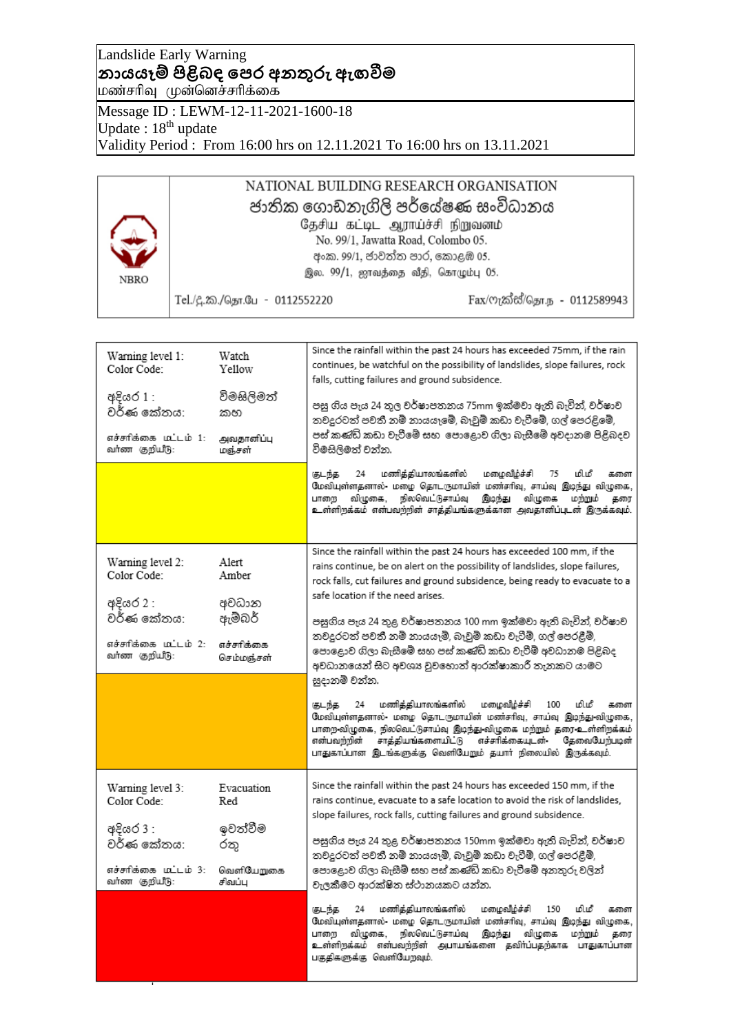## Landslide Early Warning **නායයෑම් පිළිබඳ පෙර අනතුරු ඇඟවීම** மண்சரிவு முன்னெச்சரிக்கை

Message ID : LEWM-12-11-2021-1600-18 Update:  $18^{th}$  update Validity Period : From 16:00 hrs on 12.11.2021 To 16:00 hrs on 13.11.2021

### NATIONAL BUILDING RESEARCH ORGANISATION ජාතික ගොඩනැගිලි පර්යේෂණ සංවිධානය தேசிய கட்டிட ஆராய்ச்சி நிறுவனம் No. 99/1, Jawatta Road, Colombo 05. අංක. 99/1, ජාවත්ත පාර, කොළඹ 05. இல. 99/1, ஜாவத்தை வீதி, கொழும்பு 05. **NBRO** Fax/ෆැක්ස්/தொ.ந - 0112589943 Tel./දූ.ක./தொ.பே - 0112552220

| Warning level 1:<br>Color Code:<br>අදියර 1 :<br>වර්ණ කේතය:<br>எச்சாிக்கை மட்டம் 1:<br>வர்ண குறியீடு: | Watch<br>Yellow<br>විමසිලිමත්<br>කහ<br>அவதானிப்பு<br>மஞ்சள் | Since the rainfall within the past 24 hours has exceeded 75mm, if the rain<br>continues, be watchful on the possibility of landslides, slope failures, rock<br>falls, cutting failures and ground subsidence.<br>පසු ගිය පැය 24 තුල වර්ෂාපතනය 75mm ඉක්මවා ඇති බැවින්, වර්ෂාව<br>තවදුරටත් පවතී නම් නායයෑමේ, බෑවුම් කඩා වැටීමේ, ගල් පෙරළිමේ,<br>පස් කණ්ඩි කඩා වැටීමේ සහ පොළොව ගිලා බැසීමේ අවදානම පිළිබදව<br>විමසිලිමත් වන්න.<br>மணித்தியாலங்களில்<br>மழைவிழ்ச்சி<br>மி.மீ<br>குடந்த<br>24<br>75<br>களை<br>மேவியுள்ளதனால்- மழை தொடருமாயின் மண்சரிவு, சாய்வு இடிந்து விழுகை,<br>நிலவெட்டுசாய்வ<br>விழுகை,<br>இடிந்து<br>விழுகை<br>மற்றும்<br>பாறை<br>தரை<br>உள்ளிறக்கம் என்பவற்றின் சாத்தியங்களுக்கான அவதானிப்புடன் இருக்கவும். |
|------------------------------------------------------------------------------------------------------|-------------------------------------------------------------|-----------------------------------------------------------------------------------------------------------------------------------------------------------------------------------------------------------------------------------------------------------------------------------------------------------------------------------------------------------------------------------------------------------------------------------------------------------------------------------------------------------------------------------------------------------------------------------------------------------------------------------------------------------------------------------------------------------------------------|
|                                                                                                      |                                                             |                                                                                                                                                                                                                                                                                                                                                                                                                                                                                                                                                                                                                                                                                                                             |
| Warning level 2:<br>Color Code:<br>අදියර 2 :                                                         | Alert<br>Amber<br>අවධාන                                     | Since the rainfall within the past 24 hours has exceeded 100 mm, if the<br>rains continue, be on alert on the possibility of landslides, slope failures,<br>rock falls, cut failures and ground subsidence, being ready to evacuate to a<br>safe location if the need arises.                                                                                                                                                                                                                                                                                                                                                                                                                                               |
| වර්ණ කේතය:                                                                                           | ඇම්බර්                                                      | පසුගිය පැය 24 තුළ වර්ෂාපතනය 100 mm ඉක්මවා ඇති බැවින්, වර්ෂාව<br>තවදුරටත් පවතී නම් නායයෑම්, බෑවුම් කඩා වැටීම්, ගල් පෙරළීම්,                                                                                                                                                                                                                                                                                                                                                                                                                                                                                                                                                                                                  |
| எச்சாிக்கை மட்டம் 2:<br>வர்ண குறியீடு:                                                               | எச்சரிக்கை<br>செம்மஞ்சள்                                    | පොළොව ගිලා බැසීමේ සහ පස් කණිඩ් කඩා වැටීම් අවධානම පිළිබද<br>අවධානයෙන් සිට අවශාෘ වුවහොත් ආරක්ෂාකාරී තැනකට යාමට<br>සූදානම් වන්න.                                                                                                                                                                                                                                                                                                                                                                                                                                                                                                                                                                                               |
|                                                                                                      |                                                             | மணித்தியாலங்களில்<br>மழைவீழ்ச்சி<br>மி.மீ<br>குடந்த<br>24<br>100<br>களை<br>மேவியுள்ளதனால்- மழை தொடருமாயின் மண்சரிவு, சாய்வு இடிந்து-விழுகை,<br>பாறை விழுகை, நிலவெட்டுசாய்வு இடிந்து விழுகை மற்றும் தரை உள்ளிறக்கம்<br>என்பவந்நின்<br>சாத்தியங்களையிட்டு எச்சரிக்கையுடன -<br>தேவைபேற்படின்<br>பாதுகாப்பான இடங்களுக்கு வெளியேறும் தயார் நிலையில் இருக்கவும்.                                                                                                                                                                                                                                                                                                                                                                  |
| Warning level 3:<br>Color Code:                                                                      | Evacuation<br>Red                                           | Since the rainfall within the past 24 hours has exceeded 150 mm, if the<br>rains continue, evacuate to a safe location to avoid the risk of landslides,<br>slope failures, rock falls, cutting failures and ground subsidence.                                                                                                                                                                                                                                                                                                                                                                                                                                                                                              |
| අදියර 3 :<br>වර්ණ කේතය:                                                                              | ඉවත්වීම<br>රතු                                              | පසුගිය පැය 24 තුළ වර්ෂාපතනය 150mm ඉක්මවා ඇති බැවින්, වර්ෂාව<br>තවදුරටත් පවතී නම් නායයෑම්, බෑවුම් කඩා වැටීම්, ගල් පෙරළීම්,                                                                                                                                                                                                                                                                                                                                                                                                                                                                                                                                                                                                   |
| எச்சாிக்கை மட்டம் 3:<br>வர்ண குறியீடு:                                                               | வெளியேறுகை<br>சிவப்பு                                       | පොළොව ගිලා බැසීම් සහ පස් කණිඩි කඩා වැටීමේ අනතුරු වලින්<br>වැලකීමට ආරක්ෂිත ස්ථානයකට යන්න.                                                                                                                                                                                                                                                                                                                                                                                                                                                                                                                                                                                                                                    |
|                                                                                                      |                                                             | மணித்தியாலங்களில்<br>மழைவீழ்ச்சி<br>150<br>மி.மீ<br>குடந்த<br>24<br>களை<br>மேவியுள்ளதனால்- மழை தொடருமாயின் மண்சரிவு, சாய்வு இடிந்து விழுகை,<br>விழுகை,<br>நிலவெட்டுசாய்வு<br>இடிந்து<br>விழுகை<br>மற்றும்<br>பாறை<br>கரை<br>உள்ளிறக்கம் என்பவற்றின் அபாயங்களை தவிர்ப்பதற்காக பாதுகாப்பான<br>பகுதிகளுக்கு வெளியேறவும்.                                                                                                                                                                                                                                                                                                                                                                                                       |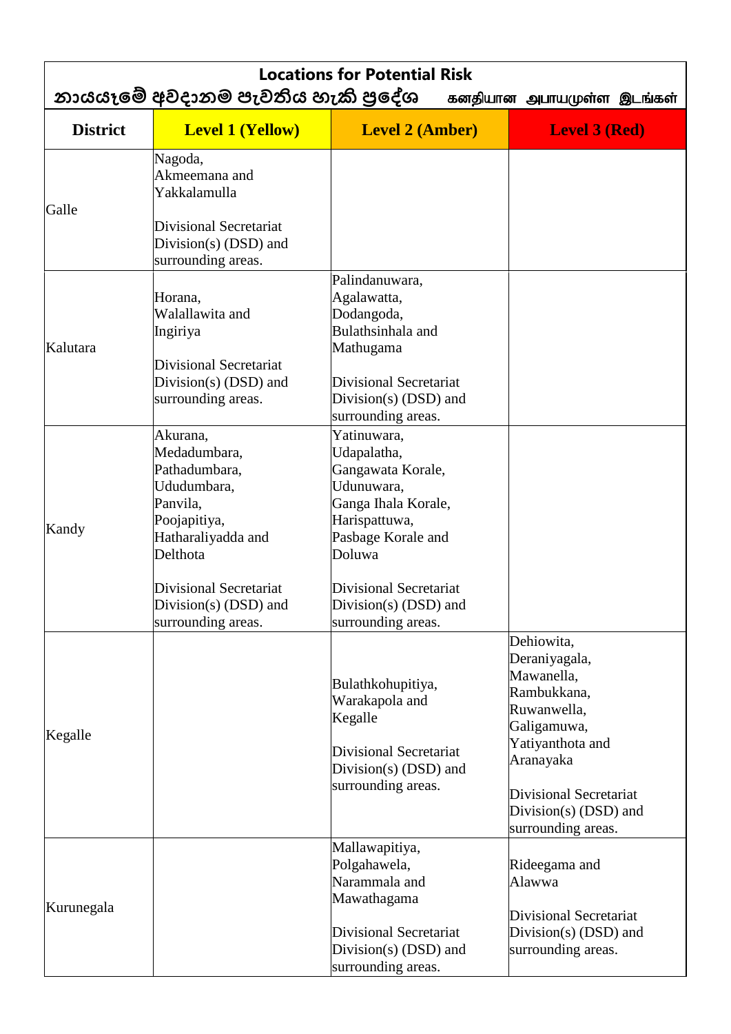| <b>Locations for Potential Risk</b><br>නායයෑමේ අවදානම පැවතිය හැකි පුදේශ<br>கனதியான அபாயமுள்ள இடங்கள் |                                                                                                                                                         |                                                                                                                                                                                   |                                                                                                                                                                                                         |  |  |
|------------------------------------------------------------------------------------------------------|---------------------------------------------------------------------------------------------------------------------------------------------------------|-----------------------------------------------------------------------------------------------------------------------------------------------------------------------------------|---------------------------------------------------------------------------------------------------------------------------------------------------------------------------------------------------------|--|--|
| <b>District</b>                                                                                      | <b>Level 1 (Yellow)</b>                                                                                                                                 | <b>Level 2 (Amber)</b>                                                                                                                                                            | <b>Level 3 (Red)</b>                                                                                                                                                                                    |  |  |
| Galle                                                                                                | Nagoda,<br>Akmeemana and<br>Yakkalamulla<br><b>Divisional Secretariat</b><br>Division(s) $(DSD)$ and<br>surrounding areas.                              |                                                                                                                                                                                   |                                                                                                                                                                                                         |  |  |
| Kalutara                                                                                             | Horana,<br>Walallawita and<br>Ingiriya<br>Divisional Secretariat<br>Division(s) (DSD) and<br>surrounding areas.                                         | Palindanuwara,<br>Agalawatta,<br>Dodangoda,<br>Bulathsinhala and<br>Mathugama<br><b>Divisional Secretariat</b><br>Division(s) (DSD) and<br>surrounding areas.                     |                                                                                                                                                                                                         |  |  |
| Kandy                                                                                                | Akurana,<br>Medadumbara,<br>Pathadumbara,<br>Ududumbara,<br>Panvila,<br>Poojapitiya,<br>Hatharaliyadda and<br>Delthota<br><b>Divisional Secretariat</b> | Yatinuwara,<br>Udapalatha,<br>Gangawata Korale,<br>Udunuwara,<br>Ganga Ihala Korale,<br>Harispattuwa,<br>Pasbage Korale and<br>Doluwa<br><b>Divisional Secretariat</b>            |                                                                                                                                                                                                         |  |  |
| Kegalle                                                                                              | Division(s) $(DSD)$ and<br>surrounding areas.                                                                                                           | Division(s) $(DSD)$ and<br>surrounding areas.<br>Bulathkohupitiya,<br>Warakapola and<br>Kegalle<br><b>Divisional Secretariat</b><br>Division(s) $(DSD)$ and<br>surrounding areas. | Dehiowita,<br>Deraniyagala,<br>Mawanella,<br>Rambukkana,<br>Ruwanwella,<br>Galigamuwa,<br>Yatiyanthota and<br>Aranayaka<br><b>Divisional Secretariat</b><br>Division(s) (DSD) and<br>surrounding areas. |  |  |
| Kurunegala                                                                                           |                                                                                                                                                         | Mallawapitiya,<br>Polgahawela,<br>Narammala and<br>Mawathagama<br><b>Divisional Secretariat</b><br>Division(s) $(DSD)$ and<br>surrounding areas.                                  | Rideegama and<br>Alawwa<br><b>Divisional Secretariat</b><br>Division(s) (DSD) and<br>surrounding areas.                                                                                                 |  |  |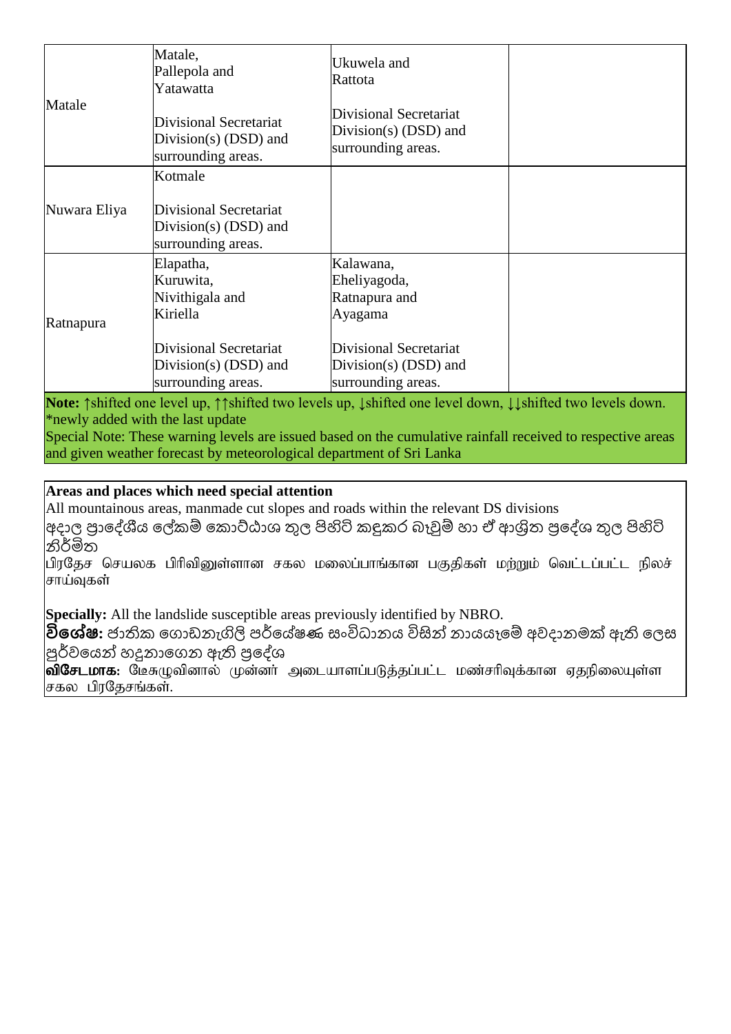| Matale       | Matale,<br>Pallepola and<br>Yatawatta                                   | Ukuwela and<br>Rattota                                                  |  |
|--------------|-------------------------------------------------------------------------|-------------------------------------------------------------------------|--|
|              | Divisional Secretariat<br>Division(s) $(DSD)$ and<br>surrounding areas. | Divisional Secretariat<br>Division(s) $(DSD)$ and<br>surrounding areas. |  |
|              | Kotmale                                                                 |                                                                         |  |
| Nuwara Eliya | Divisional Secretariat<br>Division(s) $(DSD)$ and<br>surrounding areas. |                                                                         |  |
|              | Elapatha,<br>Kuruwita,<br>Nivithigala and<br>Kiriella                   | Kalawana,<br>Eheliyagoda,<br>Ratnapura and<br>Ayagama                   |  |
| Ratnapura    |                                                                         |                                                                         |  |
|              | Divisional Secretariat                                                  | Divisional Secretariat                                                  |  |
|              | Division(s) $(DSD)$ and<br>surrounding areas.                           | Division(s) $(DSD)$ and<br>surrounding areas.                           |  |

**Note:** ↑shifted one level up, ↑↑shifted two levels up, ↓shifted one level down, ↓↓shifted two levels down. \*newly added with the last update

Special Note: These warning levels are issued based on the cumulative rainfall received to respective areas and given weather forecast by meteorological department of Sri Lanka

## **Areas and places which need special attention**

All mountainous areas, manmade cut slopes and roads within the relevant DS divisions

අදාල ප්රාදේශීය දේකම් දකාට්ඨාශ තුල පිහිටි කඳුකර බෑවුම් හා ඒ ආශ්රිත ප්රදේශ තුල පිහිටි නිර්මිත

பிரதேச செயலக பிரிவினுள்ளான சகல மலைப்பாங்கான பகுதிகள் மற்றும் வெட்டப்பட்ட நிலச் சாய்வுகள்

**Specially:** All the landslide susceptible areas previously identified by NBRO.

<mark>විශේෂ:</mark> ජාතික ගොඩනැගිලි පර්යේෂණ සංවිධානය විසින් නායයෑමේ අවදානමක් ඇති ලෙස |පූර්වයෙන් හදුනාගෙන ඇති පුදේශ

 $\overline{\mathrm{ol}}$ சேடமாக: மேசுழுவினால் முன்னா் அடையாளப்படுத்தப்பட்ட மண்சாிவுக்கான ஏதநிலையுள்ள சகல பிரகேசங்கள்.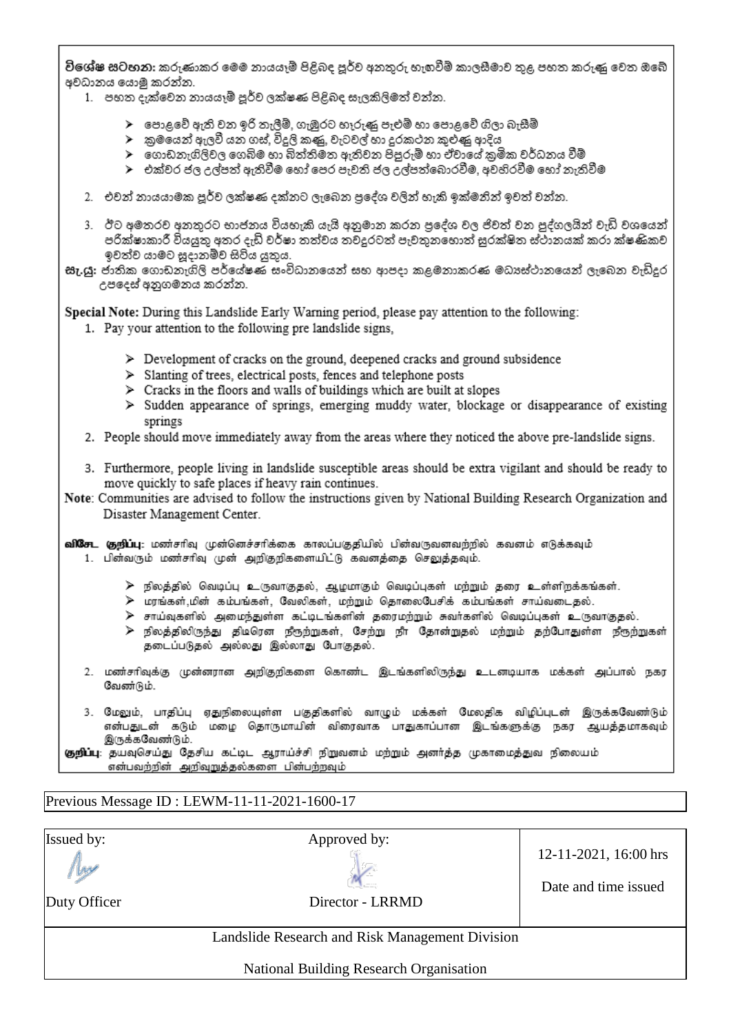විශේෂ සටහන: කරුණාකර මෙම නායයෑම් පිළිබද පූර්ව අනතුරු හැඟවීම් කාලසීමාව තුළ පහත කරුණු වෙත ඔබේ අවධානය යොමු කරන්න.

- 1. පහත දැක්වෙන නායයෑම් පූර්ව ලක්ෂණ පිළිබද සැලකිලිමත් වන්න.
	- $\blacktriangleright$  පොළවේ ඇති වන ඉරි තැලීම්, ගැඹුරට හෑරුණු පැළුම් හා පොළවේ ගිලා බැසීම්
	- ≻ු කුමයෙන් ඇලවී යන ගස්, විදුලි කණු, වැටවල් හා දුරකථන කුළුණු ආදිය
	- ≻ ගොඩනැගිලිවල ගෙබිම හා බිත්තිමත ඇතිවන පිපුරුම් හා ඒවායේ කුමික වර්ධනය වීම්
	- ≻ එක්වර ජල උල්පත් ඇතිවීම හෝ පෙර පැවති ජල උල්පත්බොරවීම. අවහිරවීම හෝ තැතිවීම
- 2. එවන් නායයාමක පූර්ව ලක්ෂණ දක්නට ලැබෙන පුදේශ වලින් හැකි ඉක්මනින් ඉවත් වන්න.
- 3. ඊට අමතරව අනතුරට භාජනය වියහැකි යැයි අනුමාන කරන පුදේශ වල ජිවත් වන පුද්ගලයින් වැඩි වශයෙන් පරික්ෂාකාරී වියයුතු අතර දැඩි වර්ෂා තත්වය තවදුරටත් පැවතුනහොත් සුරක්ෂිත ස්ථානයක් කරා ක්ෂණිකව ඉවත්ව යාමට සූදානම්ව සිටිය යුතුය.
- සැ.යූ: ජාතික ගොඩනැගිලි පර්යේෂණ සංවිධානයෙන් සහ ආපදා කළමනාකරණ මධාපේථානයෙන් ලැබෙන වැඩිදුර උපදෙස් අනුගමනය කරන්න.

Special Note: During this Landslide Early Warning period, please pay attention to the following:

- 1. Pay your attention to the following pre landslide signs,
	- $\triangleright$  Development of cracks on the ground, deepened cracks and ground subsidence
	- > Slanting of trees, electrical posts, fences and telephone posts
	- $\triangleright$  Cracks in the floors and walls of buildings which are built at slopes
	- > Sudden appearance of springs, emerging muddy water, blockage or disappearance of existing springs
- 2. People should move immediately away from the areas where they noticed the above pre-landslide signs.
- 3. Furthermore, people living in landslide susceptible areas should be extra vigilant and should be ready to move quickly to safe places if heavy rain continues.
- Note: Communities are advised to follow the instructions given by National Building Research Organization and Disaster Management Center.

**விசேட குறிப்பு**: மண்சரிவு முன்னெச்சரிக்கை காலப்பகுதியில் பின்வருவனவற்றில் கவனம் எடுக்கவும் 1. பின்வரும் மண்சரிவு முன் அறிகுறிகளையிட்டு கவனத்தை செலுத்தவும்.

- $\triangleright$  நிலத்தில் வெடிப்பு உருவாகுதல், ஆழமாகும் வெடிப்புகள் மற்றும் தரை உள்ளிறக்கங்கள்.
- ≽ மரங்கள்,மின் கம்பங்கள், வேலிகள், மற்றும் தொலைபேசிக் கம்பங்கள் சாய்வடைதல்.
- <mark>≫ சாய்வுகளில் அமைந்துள்ள கட்டிடங்களின் தரைமற்றும் சுவர்களில் வெடிப்புகள் உருவாகுதல்.</mark>
- ≻ நிலத்திலிருந்து திடிரென நீரூற்றுகள், சேற்று நீா தோன்றுதல் மற்றும் தற்போதுள்ள நீரூற்றுகள் தடைப்படுதல் அல்லது இல்லாது போகுதல்.
- 2. மண்சரிவுக்கு முன்னரான அறிகுறிகளை கொண்ட இடங்களிலிருந்து உடனடியாக மக்கள் அப்பால் நகர வேண்டும்.
- 3. மேலும், பாதிப்பு ஏதுநிலையுள்ள பகுதிகளில் வாழும் மக்கள் மேலதிக விழிப்புடன் இருக்கவேண்டும் என்பதுடன் கடும் மழை தொருமாயின் விரைவாக பாதுகாப்பான இடங்களுக்கு நகர ஆயத்தமாகவும் இருக்கவேண்டும்.

குறிப்பு: தயவுசெய்து தேசிய கட்டிட ஆராய்ச்சி நிறுவனம் மற்றும் அனர்த்த முகாமைத்துவ நிலையம் என்பவற்றின் அறிவுறுத்தல்களை பின்பற்றவும்

#### Previous Message ID : LEWM-11-11-2021-1600-17

| <b>Issued by:</b><br>W<br>Duty Officer | Approved by:<br>Director - LRRMD                | 12-11-2021, 16:00 hrs<br>Date and time issued |
|----------------------------------------|-------------------------------------------------|-----------------------------------------------|
|                                        | Landslide Research and Risk Management Division |                                               |
|                                        | National Building Research Organisation         |                                               |